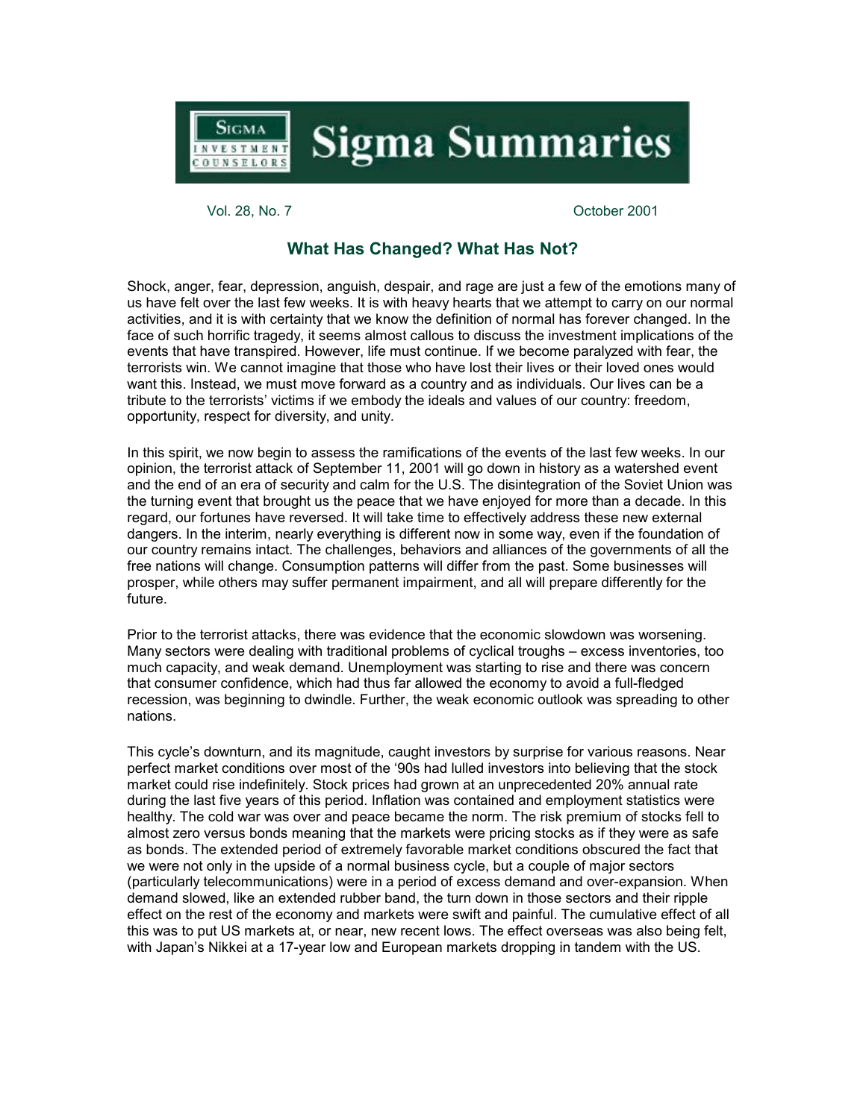

Vol. 28, No. 7 October 2001

## **What Has Changed? What Has Not?**

Shock, anger, fear, depression, anguish, despair, and rage are just a few of the emotions many of us have felt over the last few weeks. It is with heavy hearts that we attempt to carry on our normal activities, and it is with certainty that we know the definition of normal has forever changed. In the face of such horrific tragedy, it seems almost callous to discuss the investment implications of the events that have transpired. However, life must continue. If we become paralyzed with fear, the terrorists win. We cannot imagine that those who have lost their lives or their loved ones would want this. Instead, we must move forward as a country and as individuals. Our lives can be a tribute to the terrorists' victims if we embody the ideals and values of our country: freedom, opportunity, respect for diversity, and unity.

In this spirit, we now begin to assess the ramifications of the events of the last few weeks. In our opinion, the terrorist attack of September 11, 2001 will go down in history as a watershed event and the end of an era of security and calm for the U.S. The disintegration of the Soviet Union was the turning event that brought us the peace that we have enjoyed for more than a decade. In this regard, our fortunes have reversed. It will take time to effectively address these new external dangers. In the interim, nearly everything is different now in some way, even if the foundation of our country remains intact. The challenges, behaviors and alliances of the governments of all the free nations will change. Consumption patterns will differ from the past. Some businesses will prosper, while others may suffer permanent impairment, and all will prepare differently for the future.

Prior to the terrorist attacks, there was evidence that the economic slowdown was worsening. Many sectors were dealing with traditional problems of cyclical troughs – excess inventories, too much capacity, and weak demand. Unemployment was starting to rise and there was concern that consumer confidence, which had thus far allowed the economy to avoid a full-fledged recession, was beginning to dwindle. Further, the weak economic outlook was spreading to other nations.

This cycle's downturn, and its magnitude, caught investors by surprise for various reasons. Near perfect market conditions over most of the '90s had lulled investors into believing that the stock market could rise indefinitely. Stock prices had grown at an unprecedented 20% annual rate during the last five years of this period. Inflation was contained and employment statistics were healthy. The cold war was over and peace became the norm. The risk premium of stocks fell to almost zero versus bonds meaning that the markets were pricing stocks as if they were as safe as bonds. The extended period of extremely favorable market conditions obscured the fact that we were not only in the upside of a normal business cycle, but a couple of major sectors (particularly telecommunications) were in a period of excess demand and over-expansion. When demand slowed, like an extended rubber band, the turn down in those sectors and their ripple effect on the rest of the economy and markets were swift and painful. The cumulative effect of all this was to put US markets at, or near, new recent lows. The effect overseas was also being felt, with Japan's Nikkei at a 17-year low and European markets dropping in tandem with the US.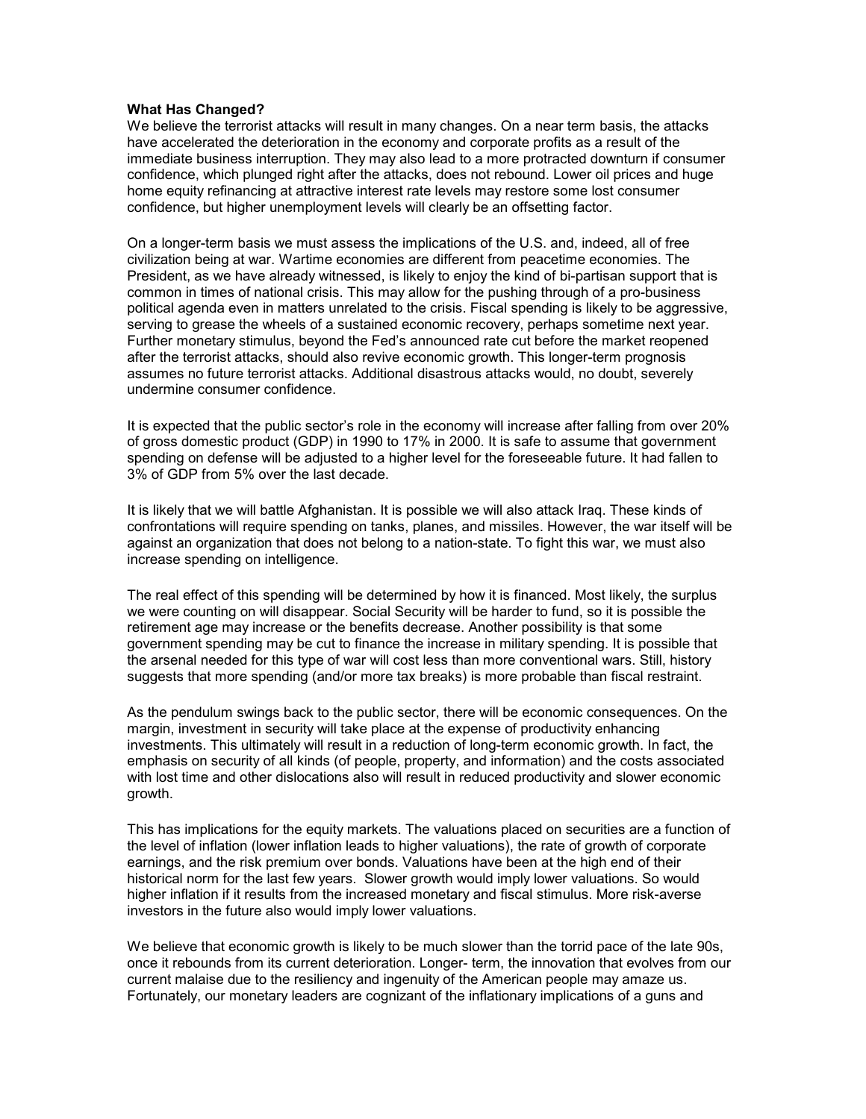## **What Has Changed?**

We believe the terrorist attacks will result in many changes. On a near term basis, the attacks have accelerated the deterioration in the economy and corporate profits as a result of the immediate business interruption. They may also lead to a more protracted downturn if consumer confidence, which plunged right after the attacks, does not rebound. Lower oil prices and huge home equity refinancing at attractive interest rate levels may restore some lost consumer confidence, but higher unemployment levels will clearly be an offsetting factor.

On a longer-term basis we must assess the implications of the U.S. and, indeed, all of free civilization being at war. Wartime economies are different from peacetime economies. The President, as we have already witnessed, is likely to enjoy the kind of bi-partisan support that is common in times of national crisis. This may allow for the pushing through of a pro-business political agenda even in matters unrelated to the crisis. Fiscal spending is likely to be aggressive, serving to grease the wheels of a sustained economic recovery, perhaps sometime next year. Further monetary stimulus, beyond the Fed's announced rate cut before the market reopened after the terrorist attacks, should also revive economic growth. This longer-term prognosis assumes no future terrorist attacks. Additional disastrous attacks would, no doubt, severely undermine consumer confidence.

It is expected that the public sector's role in the economy will increase after falling from over 20% of gross domestic product (GDP) in 1990 to 17% in 2000. It is safe to assume that government spending on defense will be adjusted to a higher level for the foreseeable future. It had fallen to 3% of GDP from 5% over the last decade.

It is likely that we will battle Afghanistan. It is possible we will also attack Iraq. These kinds of confrontations will require spending on tanks, planes, and missiles. However, the war itself will be against an organization that does not belong to a nation-state. To fight this war, we must also increase spending on intelligence.

The real effect of this spending will be determined by how it is financed. Most likely, the surplus we were counting on will disappear. Social Security will be harder to fund, so it is possible the retirement age may increase or the benefits decrease. Another possibility is that some government spending may be cut to finance the increase in military spending. It is possible that the arsenal needed for this type of war will cost less than more conventional wars. Still, history suggests that more spending (and/or more tax breaks) is more probable than fiscal restraint.

As the pendulum swings back to the public sector, there will be economic consequences. On the margin, investment in security will take place at the expense of productivity enhancing investments. This ultimately will result in a reduction of long-term economic growth. In fact, the emphasis on security of all kinds (of people, property, and information) and the costs associated with lost time and other dislocations also will result in reduced productivity and slower economic growth.

This has implications for the equity markets. The valuations placed on securities are a function of the level of inflation (lower inflation leads to higher valuations), the rate of growth of corporate earnings, and the risk premium over bonds. Valuations have been at the high end of their historical norm for the last few years. Slower growth would imply lower valuations. So would higher inflation if it results from the increased monetary and fiscal stimulus. More risk-averse investors in the future also would imply lower valuations.

We believe that economic growth is likely to be much slower than the torrid pace of the late 90s, once it rebounds from its current deterioration. Longer- term, the innovation that evolves from our current malaise due to the resiliency and ingenuity of the American people may amaze us. Fortunately, our monetary leaders are cognizant of the inflationary implications of a guns and